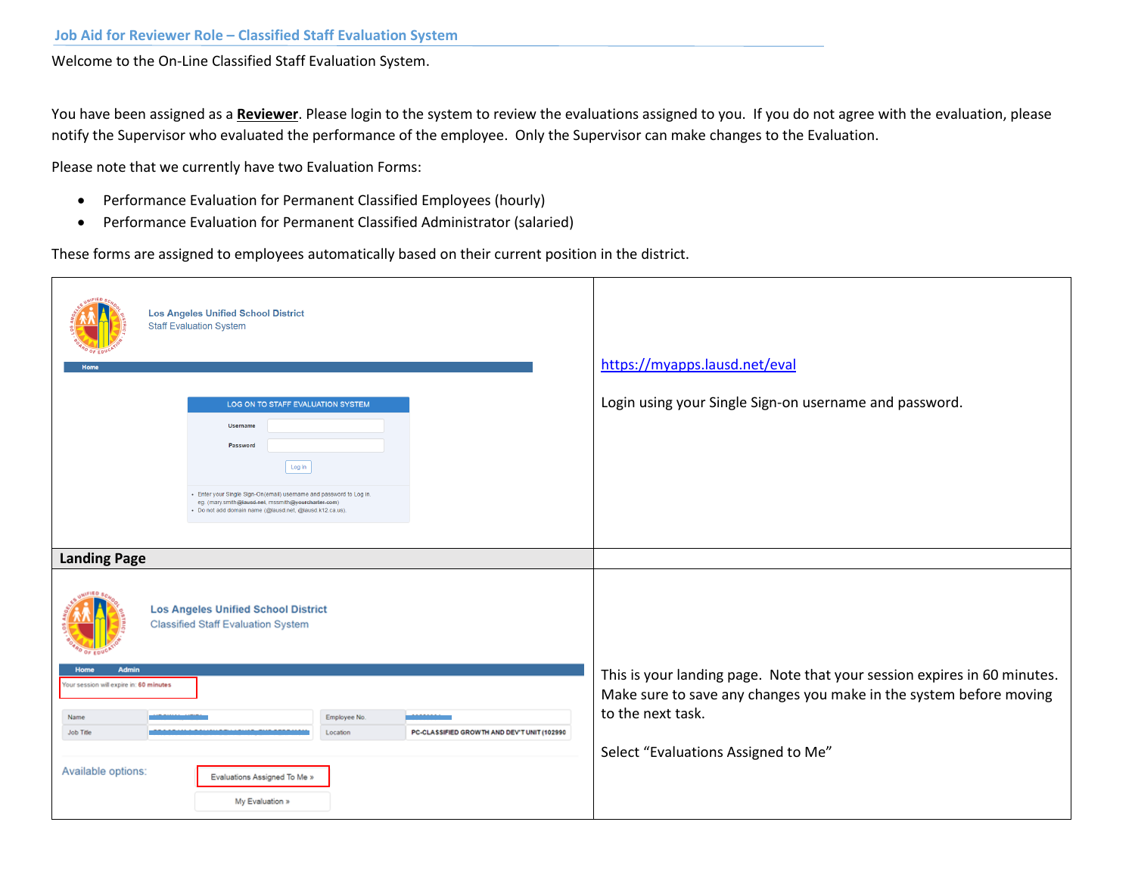Welcome to the On-Line Classified Staff Evaluation System.

You have been assigned as a **Reviewer**. Please login to the system to review the evaluations assigned to you. If you do not agree with the evaluation, please notify the Supervisor who evaluated the performance of the employee. Only the Supervisor can make changes to the Evaluation.

Please note that we currently have two Evaluation Forms:

- Performance Evaluation for Permanent Classified Employees (hourly)
- Performance Evaluation for Permanent Classified Administrator (salaried)

These forms are assigned to employees automatically based on their current position in the district.

| <b>Los Angeles Unified School District</b><br><b>Staff Evaluation System</b><br>Home                                                                                                   | https://myapps.lausd.net/eval                                                                                                                                       |
|----------------------------------------------------------------------------------------------------------------------------------------------------------------------------------------|---------------------------------------------------------------------------------------------------------------------------------------------------------------------|
| LOG ON TO STAFF EVALUATION SYSTEM                                                                                                                                                      | Login using your Single Sign-on username and password.                                                                                                              |
| <b>Username</b><br>Password<br>Log in                                                                                                                                                  |                                                                                                                                                                     |
| - Enter your Single Sign-On(email) username and password to Log in.<br>eg. (mary.smith@lausd.net, mssmith@yourcharter.com)<br>- Do not add domain name (@lausd.net, @lausd.k12.ca.us). |                                                                                                                                                                     |
| <b>Landing Page</b>                                                                                                                                                                    |                                                                                                                                                                     |
| <b>Los Angeles Unified School District</b><br><b>Classified Staff Evaluation System</b>                                                                                                |                                                                                                                                                                     |
| <b>Admin</b><br><b>Home</b><br>Your session will expire in: 60 minutes                                                                                                                 | This is your landing page. Note that your session expires in 60 minutes.<br>Make sure to save any changes you make in the system before moving<br>to the next task. |
| <u></u><br>Name<br>Employee No.<br><b>Job Title</b><br>PC-CLASSIFIED GROWTH AND DEV'T UNIT (102990<br>Location                                                                         |                                                                                                                                                                     |
| Available options:<br>Evaluations Assigned To Me »                                                                                                                                     | Select "Evaluations Assigned to Me"                                                                                                                                 |
| My Evaluation »                                                                                                                                                                        |                                                                                                                                                                     |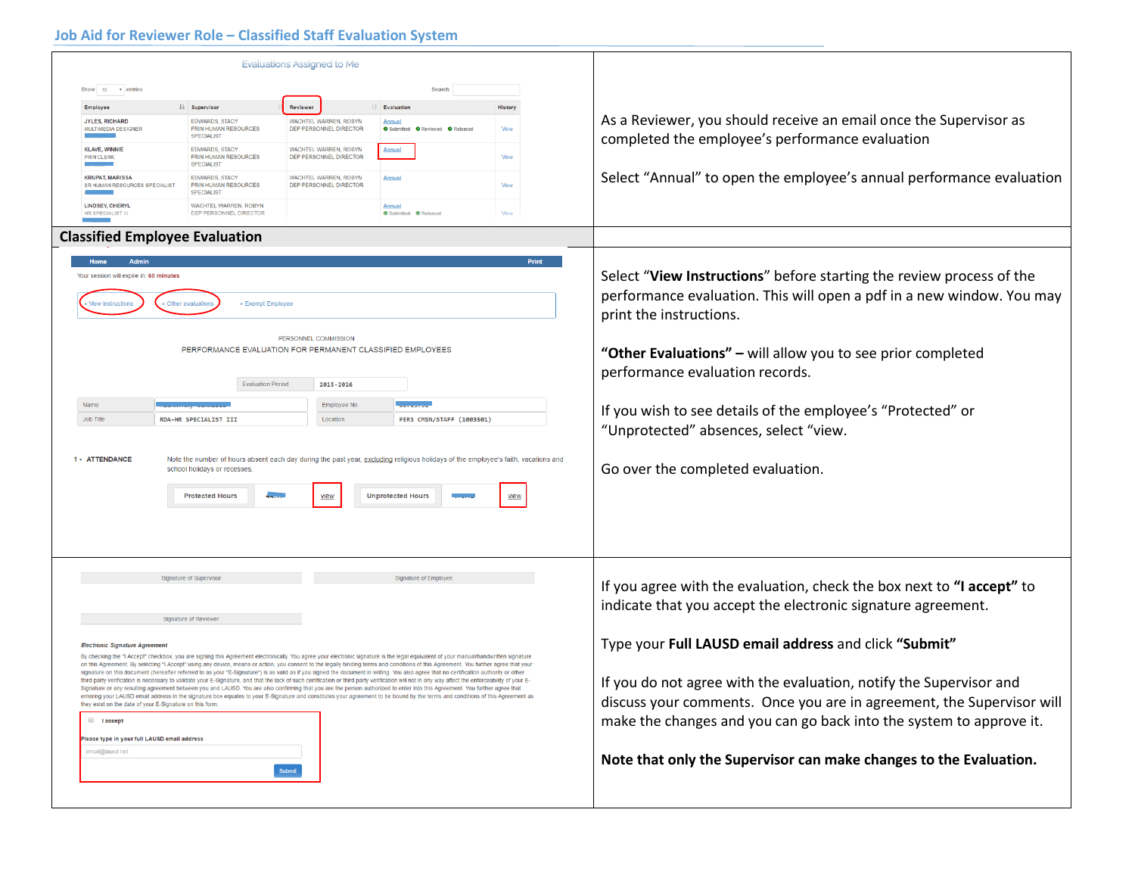## **Job Aid for Reviewer Role – Classified Staff Evaluation System**

| <b>Evaluations Assigned to Me</b>                                                                                                                                                                                                                                                                                                                                                                                                                                                                                                                                                                                                                                                                                                                                                                                                                                                                                                                                                                                                                                                                                                                                                                                                                                                                                                                                                                                           |                                                                                                                                                                              |                                                                                                                                                                                                                                                                                                                                                                                                                                                                                           |
|-----------------------------------------------------------------------------------------------------------------------------------------------------------------------------------------------------------------------------------------------------------------------------------------------------------------------------------------------------------------------------------------------------------------------------------------------------------------------------------------------------------------------------------------------------------------------------------------------------------------------------------------------------------------------------------------------------------------------------------------------------------------------------------------------------------------------------------------------------------------------------------------------------------------------------------------------------------------------------------------------------------------------------------------------------------------------------------------------------------------------------------------------------------------------------------------------------------------------------------------------------------------------------------------------------------------------------------------------------------------------------------------------------------------------------|------------------------------------------------------------------------------------------------------------------------------------------------------------------------------|-------------------------------------------------------------------------------------------------------------------------------------------------------------------------------------------------------------------------------------------------------------------------------------------------------------------------------------------------------------------------------------------------------------------------------------------------------------------------------------------|
| v entries<br>Search<br>Show 10<br><b>JE</b> Supervisor<br>Reviewer<br><b>IT</b> Evaluation<br>Employee<br><b>JYLES, RICHARD</b><br><b>EDWARDS, STACY</b><br>WACHTEL WARREN, ROBYN<br>Annual<br><b>PRIN HUMAN RESOURCES</b><br>DEP PERSONNEL DIRECTOR<br>MULTIMEDIA DESIGNER<br>O Submitted O Reviewed O Released<br><b>SPECIALIST</b><br><b>KLAVE, WINNIE</b><br><b>EDWARDS, STACY</b><br><b>WACHTEL WARREN, ROBYN</b><br><b>Annual</b><br>PRIN HUMAN RESOURCES<br>DEP PERSONNEL DIRECTOR<br><b>PRIN CLERK</b><br><b>SPECIALIST</b><br><b>KRUPAT, MARISSA</b><br><b>EDWARDS, STACY</b><br>WACHTEL WARREN, ROBYN<br>Annual<br>SR HUMAN RESOURCES SPECIALIST<br><b>PRIN HUMAN RESOURCES</b><br>DEP PERSONNEL DIRECTOR<br><b>SPECIALIST</b><br><b>LINDSEY, CHERYL</b><br>WACHTEL WARREN, ROBYN<br>Annual<br>HR SPECIALIST III<br>DEP PERSONNEL DIRECTOR<br>Submitted <b>O</b> Released<br><b>Classified Employee Evaluation</b><br>Admin<br>Home<br>Your session will expire in: 60 minutes<br>· Other evaluation<br>» Exempt Employee<br>PERSONNEL COMMISSION<br>PERFORMANCE EVALUATION FOR PERMANENT CLASSIFIED EMPLOYEES                                                                                                                                                                                                                                                                                                    | History<br>View<br>View<br>View<br>View<br><b>Print</b>                                                                                                                      | As a Reviewer, you should receive an email once the Supervisor as<br>completed the employee's performance evaluation<br>Select "Annual" to open the employee's annual performance evaluation<br>Select "View Instructions" before starting the review process of the<br>performance evaluation. This will open a pdf in a new window. You may<br>print the instructions.<br>"Other Evaluations" - will allow you to see prior completed                                                   |
| <b>Evaluation Period</b><br>2015-2016<br>Name<br>Employee No.<br><b>Job Title</b><br>RDA-HR SPECIALIST III<br>Location<br>PERS CMSN/STAFF (1003501)<br>1 - ATTENDANCE<br>Note the number of hours absent each day during the past year, excluding religious holidays of the employee's faith, vacations and<br>school holidays or recesses.<br><b>Protected Hours</b><br><b>Unprotected Hours</b><br>view                                                                                                                                                                                                                                                                                                                                                                                                                                                                                                                                                                                                                                                                                                                                                                                                                                                                                                                                                                                                                   | performance evaluation records.<br>If you wish to see details of the employee's "Protected" or<br>"Unprotected" absences, select "view.<br>Go over the completed evaluation. |                                                                                                                                                                                                                                                                                                                                                                                                                                                                                           |
| Signature of Supervisor<br>Signature of Employee<br><b>Signature of Reviewer</b><br><b>Electronic Signature Agreement</b><br>By checking the "I Accept" checkbox, you are signing this Agreement electronically. You agree your electronic signature is the legal equivalent of your manual/handwritten signature<br>on this Agreement. By selecting "I Accept" using any device, means or action, you consent to the legally binding terms and conditions of this Agreement. You further agree that your<br>signature on this document (hereafter referred to as your "E-Signature") is as valid as if you signed the document in writing. You also agree that no certification authority or other<br>third party verification is necessary to validate your E-Signature, and that the lack of such certification or third party verification will not in any way affect the enforceability of your E-<br>Signature or any resulting agreement between you and LAUSD. You are also confirming that you are the person authorized to enter into this Agreement. You further agree that<br>entering your LAUSD email address in the signature box equates to your E-Signature and constitutes your agreement to be bound by the terms and conditions of this Agreement as<br>they exist on the date of your E-Signature on this form.<br><b>I</b> laccept<br>Please type in your full LAUSD email address<br>email@lausd.net |                                                                                                                                                                              | If you agree with the evaluation, check the box next to "I accept" to<br>indicate that you accept the electronic signature agreement.<br>Type your Full LAUSD email address and click "Submit"<br>If you do not agree with the evaluation, notify the Supervisor and<br>discuss your comments. Once you are in agreement, the Supervisor will<br>make the changes and you can go back into the system to approve it.<br>Note that only the Supervisor can make changes to the Evaluation. |